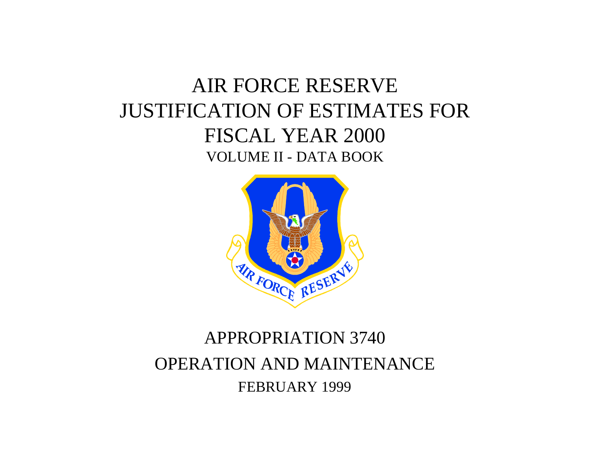# AIR FORCE RESERVE JUSTIFICATION OF ESTIMATES FOR FISCAL YEAR 2000 VOLUME II - DATA BOOK



# APPROPRIATION 3740 OPERATION AND MAINTENANCE FEBRUARY 1999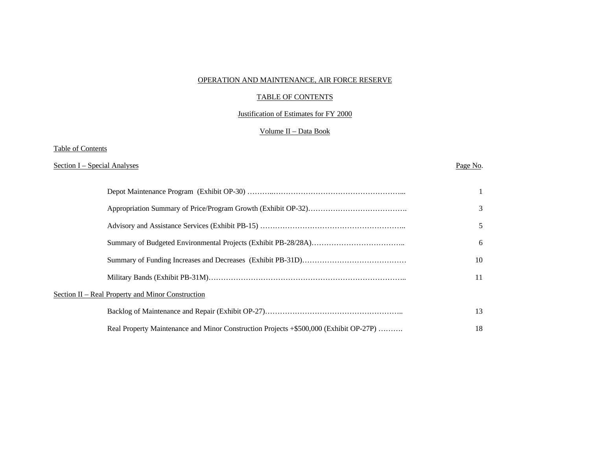#### OPERATION AND MAINTENANCE, AIR FORCE RESERVE

#### TABLE OF CONTENTS

#### Justification of Estimates for FY 2000

### Volume II – Data Book

#### Table of Contents

#### Section I – Special Analyses Page No.

|                                                                                       | 3  |
|---------------------------------------------------------------------------------------|----|
|                                                                                       | 5  |
|                                                                                       | 6  |
|                                                                                       | 10 |
|                                                                                       | 11 |
| Section II – Real Property and Minor Construction                                     |    |
|                                                                                       | 13 |
| Real Property Maintenance and Minor Construction Projects +\$500,000 (Exhibit OP-27P) | 18 |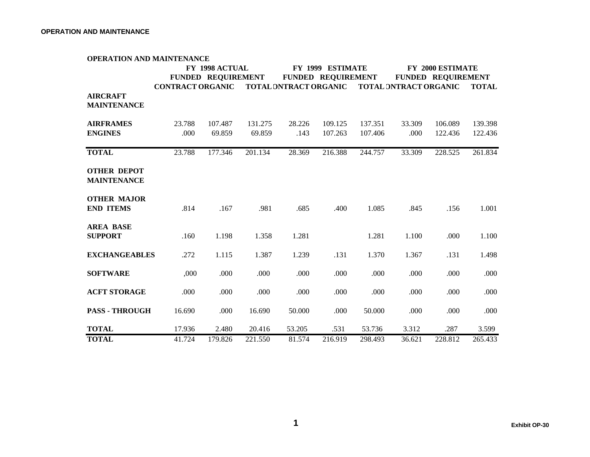|                                          | <b>OPERATION AND MAINTENANCE</b> |                           |         |                       |                           |         |                       |                           |              |
|------------------------------------------|----------------------------------|---------------------------|---------|-----------------------|---------------------------|---------|-----------------------|---------------------------|--------------|
|                                          |                                  | FY 1998 ACTUAL            |         |                       | FY 1999 ESTIMATE          |         | FY 2000 ESTIMATE      |                           |              |
|                                          |                                  | <b>FUNDED REQUIREMENT</b> |         |                       | <b>FUNDED REQUIREMENT</b> |         |                       | <b>FUNDED REQUIREMENT</b> |              |
| <b>AIRCRAFT</b>                          | <b>CONTRACT ORGANIC</b>          |                           |         | TOTAL DNTRACT ORGANIC |                           |         | TOTAL DNTRACT ORGANIC |                           | <b>TOTAL</b> |
| <b>MAINTENANCE</b>                       |                                  |                           |         |                       |                           |         |                       |                           |              |
| <b>AIRFRAMES</b>                         | 23.788                           | 107.487                   | 131.275 | 28.226                | 109.125                   | 137.351 | 33.309                | 106.089                   | 139.398      |
| <b>ENGINES</b>                           | .000                             | 69.859                    | 69.859  | .143                  | 107.263                   | 107.406 | .000                  | 122.436                   | 122.436      |
|                                          |                                  |                           |         |                       |                           |         |                       |                           |              |
| <b>TOTAL</b>                             | 23.788                           | 177.346                   | 201.134 | 28.369                | 216.388                   | 244.757 | 33.309                | 228.525                   | 261.834      |
| <b>OTHER DEPOT</b><br><b>MAINTENANCE</b> |                                  |                           |         |                       |                           |         |                       |                           |              |
| <b>OTHER MAJOR</b><br><b>END ITEMS</b>   | .814                             | .167                      | .981    | .685                  | .400                      | 1.085   | .845                  | .156                      | 1.001        |
| <b>AREA BASE</b><br><b>SUPPORT</b>       | .160                             | 1.198                     | 1.358   | 1.281                 |                           | 1.281   | 1.100                 | .000                      | 1.100        |
| <b>EXCHANGEABLES</b>                     | .272                             | 1.115                     | 1.387   | 1.239                 | .131                      | 1.370   | 1.367                 | .131                      | 1.498        |
| <b>SOFTWARE</b>                          | ,000                             | .000                      | .000    | .000                  | .000                      | .000    | .000                  | .000                      | .000         |
| <b>ACFT STORAGE</b>                      | .000                             | .000                      | .000    | .000                  | .000                      | .000    | .000                  | .000                      | .000         |
| <b>PASS - THROUGH</b>                    | 16.690                           | .000                      | 16.690  | 50.000                | .000                      | 50.000  | .000                  | .000                      | .000         |
| <b>TOTAL</b>                             | 17.936                           | 2.480                     | 20.416  | 53.205                | .531                      | 53.736  | 3.312                 | .287                      | 3.599        |
| <b>TOTAL</b>                             | 41.724                           | 179.826                   | 221.550 | 81.574                | 216.919                   | 298.493 | 36.621                | 228.812                   | 265.433      |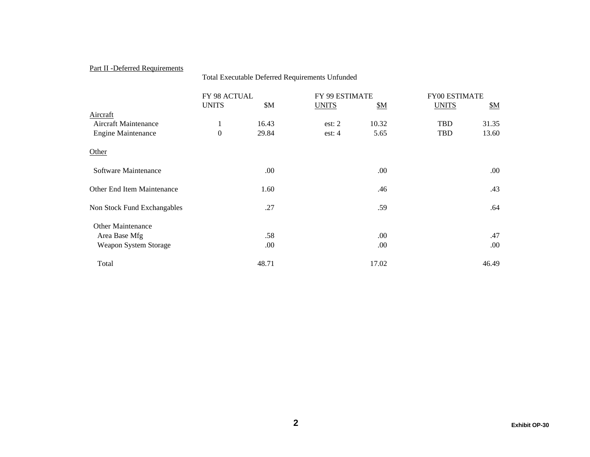# Part II -Deferred Requirements

|                                   | Total Executable Deferred Requirements Unfunded |       |                |       |                      |           |  |  |  |  |
|-----------------------------------|-------------------------------------------------|-------|----------------|-------|----------------------|-----------|--|--|--|--|
|                                   | FY 98 ACTUAL                                    |       | FY 99 ESTIMATE |       | <b>FY00 ESTIMATE</b> |           |  |  |  |  |
|                                   | <b>UNITS</b>                                    | \$M\$ | <b>UNITS</b>   | \$M   | <b>UNITS</b>         | <u>SM</u> |  |  |  |  |
| Aircraft                          |                                                 |       |                |       |                      |           |  |  |  |  |
| Aircraft Maintenance              | $\mathbf{1}$                                    | 16.43 | est: $2$       | 10.32 | <b>TBD</b>           | 31.35     |  |  |  |  |
| <b>Engine Maintenance</b>         | $\mathbf{0}$                                    | 29.84 | est: $4$       | 5.65  | <b>TBD</b>           | 13.60     |  |  |  |  |
| Other                             |                                                 |       |                |       |                      |           |  |  |  |  |
| Software Maintenance              |                                                 | .00.  |                | .00.  |                      | .00.      |  |  |  |  |
| <b>Other End Item Maintenance</b> |                                                 | 1.60  |                | .46   |                      | .43       |  |  |  |  |
| Non Stock Fund Exchangables       |                                                 | .27   |                | .59   |                      | .64       |  |  |  |  |
| <b>Other Maintenance</b>          |                                                 |       |                |       |                      |           |  |  |  |  |
| Area Base Mfg                     |                                                 | .58   |                | .00.  |                      | .47       |  |  |  |  |
| Weapon System Storage             |                                                 | .00.  |                | .00.  |                      | .00.      |  |  |  |  |
| Total                             |                                                 | 48.71 |                | 17.02 |                      | 46.49     |  |  |  |  |
|                                   |                                                 |       |                |       |                      |           |  |  |  |  |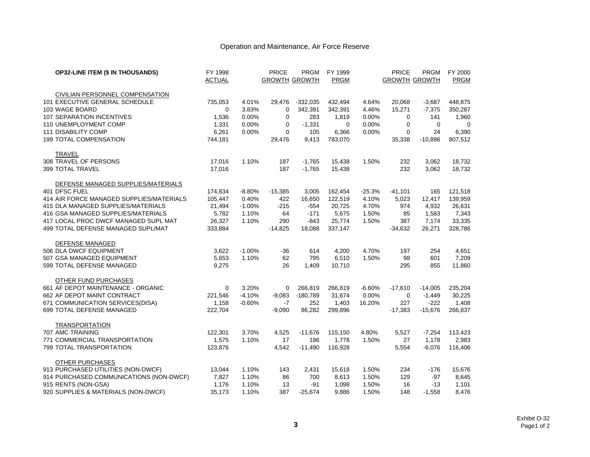# Operation and Maintenance, Air Force Reserve

| <b>OP32-LINE ITEM (\$ IN THOUSANDS)</b>  | FY 1998       |          | <b>PRICE</b>         | <b>PRGM</b> | FY 1999     |          | <b>PRICE</b>         | <b>PRGM</b> | FY 2000     |
|------------------------------------------|---------------|----------|----------------------|-------------|-------------|----------|----------------------|-------------|-------------|
|                                          | <b>ACTUAL</b> |          | <b>GROWTH GROWTH</b> |             | <b>PRGM</b> |          | <b>GROWTH GROWTH</b> |             | <b>PRGM</b> |
| CIVILIAN PERSONNEL COMPENSATION          |               |          |                      |             |             |          |                      |             |             |
| 101 EXECUTIVE GENERAL SCHEDULE           | 735,053       | 4.01%    | 29,476               | $-332,035$  | 432,494     | 4.64%    | 20,068               | $-3,687$    | 448,875     |
| 103 WAGE BOARD                           | 0             | 3.83%    | $\mathbf 0$          | 342,391     | 342,391     | 4.46%    | 15,271               | $-7,375$    | 350,287     |
| 107 SEPARATION INCENTIVES                | 1,536         | 0.00%    | 0                    | 283         | 1,819       | 0.00%    | 0                    | 141         | 1,960       |
| 110 UNEMPLOYMENT COMP                    | 1,331         | 0.00%    | 0                    | $-1,331$    | 0           | 0.00%    | $\mathbf 0$          | $\mathbf 0$ | 0           |
| <b>111 DISABILITY COMP</b>               | 6,261         | 0.00%    | $\Omega$             | 105         | 6,366       | 0.00%    | $\Omega$             | 24          | 6,390       |
| 199 TOTAL COMPENSATION                   | 744,181       |          | 29,476               | 9,413       | 783,070     |          | 35,338               | $-10,896$   | 807,512     |
| TRAVEL                                   |               |          |                      |             |             |          |                      |             |             |
| 308 TRAVEL OF PERSONS                    | 17,016        | 1.10%    | 187                  | $-1,765$    | 15,438      | 1.50%    | 232                  | 3,062       | 18,732      |
| 399 TOTAL TRAVEL                         | 17,016        |          | 187                  | $-1,765$    | 15,438      |          | 232                  | 3,062       | 18,732      |
| DEFENSE MANAGED SUPPLIES/MATERIALS       |               |          |                      |             |             |          |                      |             |             |
| 401 DFSC FUEL                            | 174,834       | $-8.80%$ | $-15,385$            | 3,005       | 162,454     | $-25.3%$ | $-41,101$            | 165         | 121,518     |
| 414 AIR FORCE MANAGED SUPPLIES/MATERIALS | 105,447       | 0.40%    | 422                  | 16,650      | 122,519     | 4.10%    | 5,023                | 12,417      | 139,959     |
| 415 DLA MANAGED SUPPLIES/MATERIALS       | 21,494        | $-1.00%$ | $-215$               | $-554$      | 20,725      | 4.70%    | 974                  | 4,932       | 26,631      |
| 416 GSA MANAGED SUPPLIES/MATERIALS       | 5,782         | 1.10%    | 64                   | $-171$      | 5,675       | 1.50%    | 85                   | 1,583       | 7,343       |
| 417 LOCAL PROC DWCF MANAGED SUPL MAT     | 26,327        | 1.10%    | 290                  | -843        | 25.774      | 1.50%    | 387                  | 7,174       | 33,335      |
| 499 TOTAL DEFENSE MANAGED SUPL/MAT       | 333,884       |          | $-14,825$            | 18,088      | 337,147     |          | $-34,632$            | 26,271      | 328,786     |
| DEFENSE MANAGED                          |               |          |                      |             |             |          |                      |             |             |
| 506 DLA DWCF EQUIPMENT                   | 3,622         | $-1.00%$ | $-36$                | 614         | 4,200       | 4.70%    | 197                  | 254         | 4,651       |
| 507 GSA MANAGED EQUIPMENT                | 5,653         | 1.10%    | 62                   | 795         | 6,510       | 1.50%    | 98                   | 601         | 7,209       |
| 599 TOTAL DEFENSE MANAGED                | 9,275         |          | 26                   | 1,409       | 10.710      |          | 295                  | 855         | 11,860      |
| OTHER FUND PURCHASES                     |               |          |                      |             |             |          |                      |             |             |
| 661 AF DEPOT MAINTENANCE - ORGANIC       | 0             | 3.20%    | 0                    | 266,819     | 266,819     | $-6.60%$ | $-17,610$            | $-14,005$   | 235,204     |
| 662 AF DEPOT MAINT CONTRACT              | 221,546       | $-4.10%$ | $-9,083$             | $-180,789$  | 31,674      | 0.00%    | $\mathbf 0$          | $-1,449$    | 30,225      |
| 671 COMMUNICATION SERVICES(DISA)         | 1,158         | $-0.60%$ | $-7$                 | 252         | 1,403       | 16.20%   | 227                  | $-222$      | 1,408       |
| 699 TOTAL DEFENSE MANAGED                | 222,704       |          | $-9,090$             | 86,282      | 299,896     |          | $-17,383$            | $-15,676$   | 266,837     |
| <b>TRANSPORTATION</b>                    |               |          |                      |             |             |          |                      |             |             |
| 707 AMC TRAINING                         | 122,301       | 3.70%    | 4,525                | $-11,676$   | 115,150     | 4.80%    | 5,527                | $-7,254$    | 113,423     |
| 771 COMMERCIAL TRANSPORTATION            | 1,575         | 1.10%    | 17                   | 186         | 1,778       | 1.50%    | 27                   | 1,178       | 2,983       |
| 799 TOTAL TRANSPORTATION                 | 123,876       |          | 4,542                | $-11,490$   | 116,928     |          | 5,554                | $-6,076$    | 116,406     |
| OTHER PURCHASES                          |               |          |                      |             |             |          |                      |             |             |
| 913 PURCHASED UTILITIES (NON-DWCF)       | 13,044        | 1.10%    | 143                  | 2,431       | 15,618      | 1.50%    | 234                  | $-176$      | 15,676      |
| 914 PURCHASED COMMUNICATIONS (NON-DWCF)  | 7,827         | 1.10%    | 86                   | 700         | 8,613       | 1.50%    | 129                  | $-97$       | 8,645       |
| 915 RENTS (NON-GSA)                      | 1,176         | 1.10%    | 13                   | -91         | 1,098       | 1.50%    | 16                   | -13         | 1,101       |
| 920 SUPPLIES & MATERIALS (NON-DWCF)      | 35,173        | 1.10%    | 387                  | $-25,674$   | 9,886       | 1.50%    | 148                  | $-1,558$    | 8,476       |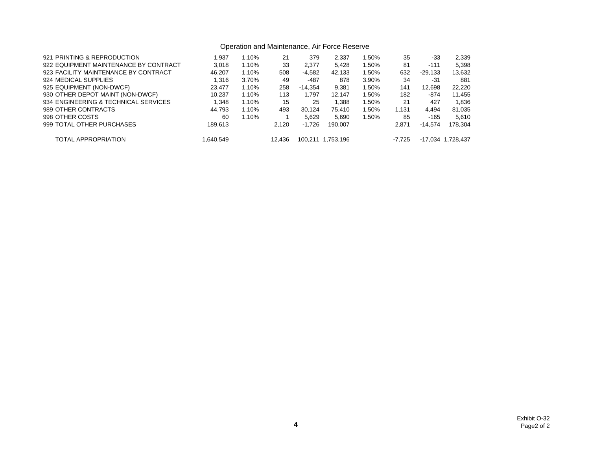# Operation and Maintenance, Air Force Reserve

| 921 PRINTING & REPRODUCTION           | 1.937     | 1.10% | 21     | 379       | 2.337     | 1.50% | 35       | -33       | 2,339             |
|---------------------------------------|-----------|-------|--------|-----------|-----------|-------|----------|-----------|-------------------|
| 922 EQUIPMENT MAINTENANCE BY CONTRACT | 3.018     | 1.10% | 33     | 2,377     | 5.428     | 1.50% | 81       | $-111$    | 5,398             |
| 923 FACILITY MAINTENANCE BY CONTRACT  | 46.207    | 1.10% | 508    | -4,582    | 42.133    | 1.50% | 632      | $-29,133$ | 13,632            |
| 924 MEDICAL SUPPLIES                  | 1.316     | 3.70% | 49     | -487      | 878       | 3.90% | 34       | $-31$     | 881               |
| 925 EQUIPMENT (NON-DWCF)              | 23.477    | 1.10% | 258    | $-14.354$ | 9.381     | 1.50% | 141      | 12.698    | 22.220            |
| 930 OTHER DEPOT MAINT (NON-DWCF)      | 10.237    | 1.10% | 113    | 1.797     | 12.147    | 1.50% | 182      | $-874$    | 11,455            |
| 934 ENGINEERING & TECHNICAL SERVICES  | 1.348     | 1.10% | 15     | 25        | 1.388     | 1.50% | 21       | 427       | 1.836             |
| 989 OTHER CONTRACTS                   | 44.793    | 1.10% | 493    | 30.124    | 75.410    | 1.50% | 1.131    | 4.494     | 81,035            |
| 998 OTHER COSTS                       | 60        | 1.10% |        | 5.629     | 5.690     | 1.50% | 85       | -165      | 5.610             |
| 999 TOTAL OTHER PURCHASES             | 189.613   |       | 2.120  | $-1.726$  | 190.007   |       | 2.871    | $-14.574$ | 178.304           |
| TOTAL APPROPRIATION                   | 1.640.549 |       | 12.436 | 100.211   | 1.753.196 |       | $-7.725$ |           | -17,034 1,728,437 |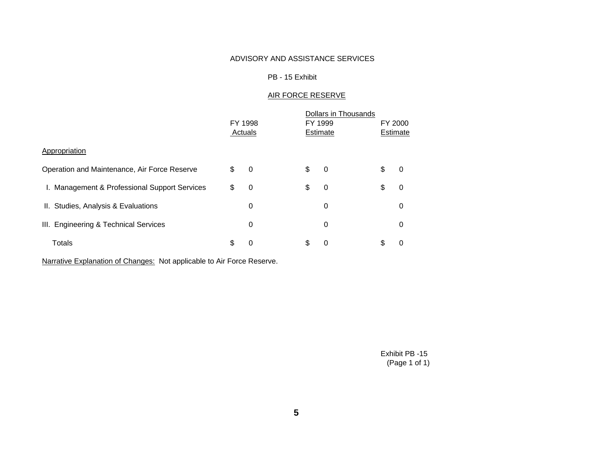# ADVISORY AND ASSISTANCE SERVICES

### PB - 15 Exhibit

# AIR FORCE RESERVE

|                                               | FY 1998<br>Actuals |                | FY 1999<br>Estimate | Dollars in Thousands | FY 2000<br>Estimate |   |
|-----------------------------------------------|--------------------|----------------|---------------------|----------------------|---------------------|---|
| Appropriation                                 |                    |                |                     |                      |                     |   |
| Operation and Maintenance, Air Force Reserve  | \$                 | $\overline{0}$ | \$                  | 0                    | \$                  | 0 |
| I. Management & Professional Support Services | \$                 | 0              | \$                  | 0                    | \$                  | 0 |
| II. Studies, Analysis & Evaluations           |                    | 0              |                     | 0                    |                     | 0 |
| III. Engineering & Technical Services         |                    | 0              |                     | 0                    |                     | 0 |
| Totals                                        | \$                 | 0              | \$                  | 0                    | \$                  | 0 |

Narrative Explanation of Changes: Not applicable to Air Force Reserve.

Exhibit PB -15 (Page 1 of 1)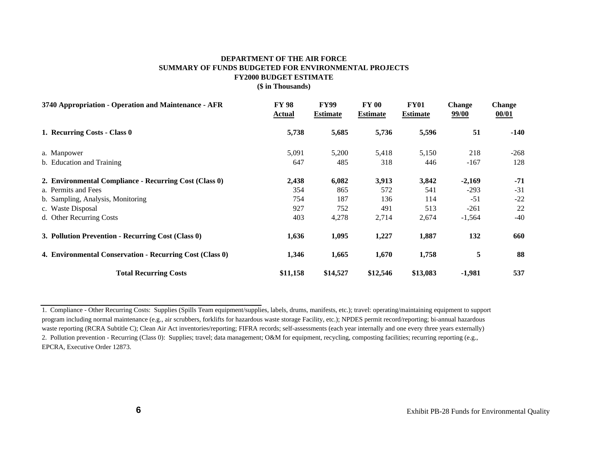#### **DEPARTMENT OF THE AIR FORCE SUMMARY OF FUNDS BUDGETED FOR ENVIRONMENTAL PROJECTS FY2000 BUDGET ESTIMATE (\$ in Thousands)**

| 3740 Appropriation - Operation and Maintenance - AFR     | <b>FY 98</b><br>Actual | <b>FY99</b><br><b>Estimate</b> | <b>FY 00</b><br><b>Estimate</b> | <b>FY01</b><br><b>Estimate</b> | <b>Change</b><br>99/00 | <b>Change</b><br>00/01 |
|----------------------------------------------------------|------------------------|--------------------------------|---------------------------------|--------------------------------|------------------------|------------------------|
| 1. Recurring Costs - Class 0                             | 5,738                  | 5,685                          | 5,736                           | 5,596                          | 51                     | $-140$                 |
| a. Manpower                                              | 5,091                  | 5,200                          | 5,418                           | 5,150                          | 218                    | $-268$                 |
| b. Education and Training                                | 647                    | 485                            | 318                             | 446                            | $-167$                 | 128                    |
| 2. Environmental Compliance - Recurring Cost (Class 0)   | 2,438                  | 6,082                          | 3,913                           | 3,842                          | $-2,169$               | $-71$                  |
| a. Permits and Fees                                      | 354                    | 865                            | 572                             | 541                            | $-293$                 | $-31$                  |
| b. Sampling, Analysis, Monitoring                        | 754                    | 187                            | 136                             | 114                            | $-51$                  | $-22$                  |
| c. Waste Disposal                                        | 927                    | 752                            | 491                             | 513                            | $-261$                 | 22                     |
| d. Other Recurring Costs                                 | 403                    | 4,278                          | 2,714                           | 2,674                          | $-1,564$               | $-40$                  |
| 3. Pollution Prevention - Recurring Cost (Class 0)       | 1,636                  | 1,095                          | 1,227                           | 1,887                          | 132                    | 660                    |
| 4. Environmental Conservation - Recurring Cost (Class 0) | 1,346                  | 1,665                          | 1,670                           | 1,758                          | 5                      | 88                     |
| <b>Total Recurring Costs</b>                             | \$11,158               | \$14,527                       | \$12,546                        | \$13,083                       | $-1,981$               | 537                    |

<sup>1.</sup> Compliance - Other Recurring Costs: Supplies (Spills Team equipment/supplies, labels, drums, manifests, etc.); travel: operating/maintaining equipment to support program including normal maintenance (e.g., air scrubbers, forklifts for hazardous waste storage Facility, etc.); NPDES permit record/reporting; bi-annual hazardous waste reporting (RCRA Subtitle C); Clean Air Act inventories/reporting; FIFRA records; self-assessments (each year internally and one every three years externally) 2. Pollution prevention - Recurring (Class 0): Supplies; travel; data management; O&M for equipment, recycling, composting facilities; recurring reporting (e.g., EPCRA, Executive Order 12873.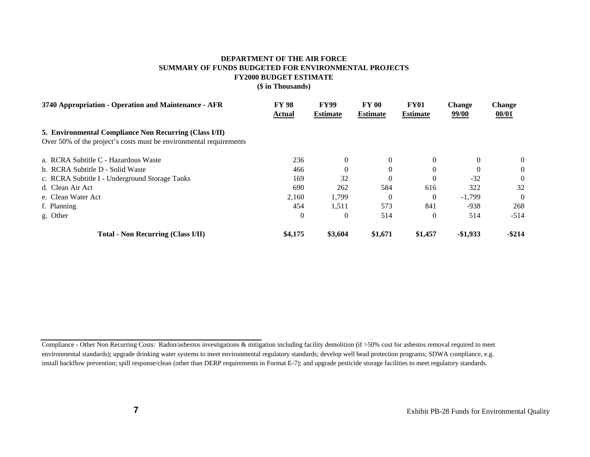# **DEPARTMENT OF THE AIR FORCE SUMMARY OF FUNDS BUDGETED FOR ENVIRONMENTAL PROJECTS FY2000 BUDGET ESTIMATE**

**(\$ in Thousands)**

| 3740 Appropriation - Operation and Maintenance - AFR                                                                         | <b>FY 98</b><br>Actual | <b>FY99</b><br><b>Estimate</b> | <b>FY 00</b><br><b>Estimate</b> | <b>FY01</b><br><b>Estimate</b> | <b>Change</b><br>99/00 | <b>Change</b><br>00/01 |
|------------------------------------------------------------------------------------------------------------------------------|------------------------|--------------------------------|---------------------------------|--------------------------------|------------------------|------------------------|
| 5. Environmental Compliance Non Recurring (Class I/II)<br>Over 50% of the project's costs must be environmental requirements |                        |                                |                                 |                                |                        |                        |
| a. RCRA Subtitle C - Hazardous Waste                                                                                         | 236                    | 0                              | $\Omega$                        | $\Omega$                       | $\Omega$               | $\overline{0}$         |
| b. RCRA Subtitle D - Solid Waste                                                                                             | 466                    |                                | $\Omega$                        | $\theta$                       |                        | $\overline{0}$         |
| c. RCRA Subtitle I - Underground Storage Tanks                                                                               | 169                    | 32                             | $\Omega$                        | $\Omega$                       | $-32$                  | $\Omega$               |
| d. Clean Air Act                                                                                                             | 690                    | 262                            | 584                             | 616                            | 322                    | 32                     |
| e. Clean Water Act                                                                                                           | 2,160                  | 1,799                          | $\Omega$                        | $\Omega$                       | $-1.799$               | $\Omega$               |
| f. Planning                                                                                                                  | 454                    | 1,511                          | 573                             | 841                            | -938                   | 268                    |
| g. Other                                                                                                                     | $\theta$               | $\Omega$                       | 514                             | $\theta$                       | 514                    | $-514$                 |
| Total - Non Recurring (Class I/II)                                                                                           | \$4,175                | \$3,604                        | \$1,671                         | \$1,457                        | $-$1,933$              | $-$ \$214              |

Compliance - Other Non Recurring Costs: Radon/asbestos investigations & mitigation including facility demolition (if >50% cost for asbestos removal required to meet environmental standards); upgrade drinking water systems to meet environmental regulatory standards; develop well head protection programs; SDWA compliance, e.g. install backflow prevention; spill response/clean (other than DERP requirements in Format E-7); and upgrade pesticide storage facilities to meet regulatory standards.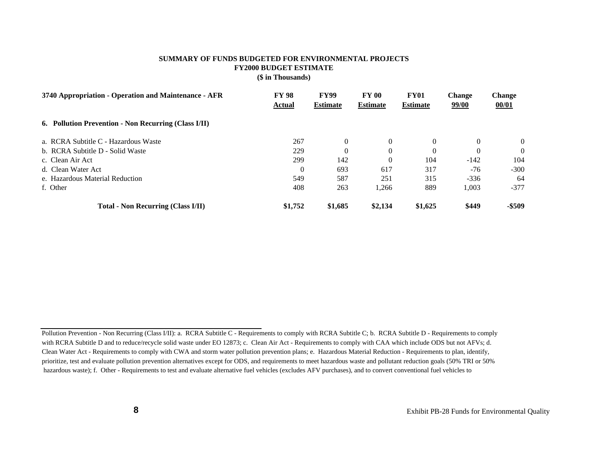#### **SUMMARY OF FUNDS BUDGETED FOR ENVIRONMENTAL PROJECTS FY2000 BUDGET ESTIMATE (\$ in Thousands)**

| 3740 Appropriation - Operation and Maintenance - AFR | <b>FY 98</b><br>Actual | <b>FY99</b><br><b>Estimate</b> | <b>FY 00</b><br><b>Estimate</b> | <b>FY01</b><br><b>Estimate</b> | <b>Change</b><br>99/00 | <b>Change</b><br>00/01 |
|------------------------------------------------------|------------------------|--------------------------------|---------------------------------|--------------------------------|------------------------|------------------------|
| 6. Pollution Prevention - Non Recurring (Class I/II) |                        |                                |                                 |                                |                        |                        |
| a. RCRA Subtitle C - Hazardous Waste                 | 267                    | $\Omega$                       | $\Omega$                        | $\Omega$                       | $\Omega$               | $\overline{0}$         |
| b. RCRA Subtitle D - Solid Waste                     | 229                    |                                |                                 | $\Omega$                       | $\Omega$               | $\Omega$               |
| c. Clean Air Act                                     | 299                    | 142                            |                                 | 104                            | $-142$                 | 104                    |
| d. Clean Water Act                                   | $\theta$               | 693                            | 617                             | 317                            | $-76$                  | $-300$                 |
| e. Hazardous Material Reduction                      | 549                    | 587                            | 251                             | 315                            | $-336$                 | 64                     |
| f. Other                                             | 408                    | 263                            | 1,266                           | 889                            | 1,003                  | $-377$                 |
| <b>Total - Non Recurring (Class I/II)</b>            | \$1,752                | \$1,685                        | \$2,134                         | \$1,625                        | \$449                  | -\$509                 |

Pollution Prevention - Non Recurring (Class I/II): a. RCRA Subtitle C - Requirements to comply with RCRA Subtitle C; b. RCRA Subtitle D - Requirements to comply with RCRA Subtitle D and to reduce/recycle solid waste under EO 12873; c. Clean Air Act - Requirements to comply with CAA which include ODS but not AFVs; d. Clean Water Act - Requirements to comply with CWA and storm water pollution prevention plans; e. Hazardous Material Reduction - Requirements to plan, identify, prioritize, test and evaluate pollution prevention alternatives except for ODS, and requirements to meet hazardous waste and pollutant reduction goals (50% TRI or 50% hazardous waste); f. Other - Requirements to test and evaluate alternative fuel vehicles (excludes AFV purchases), and to convert conventional fuel vehicles to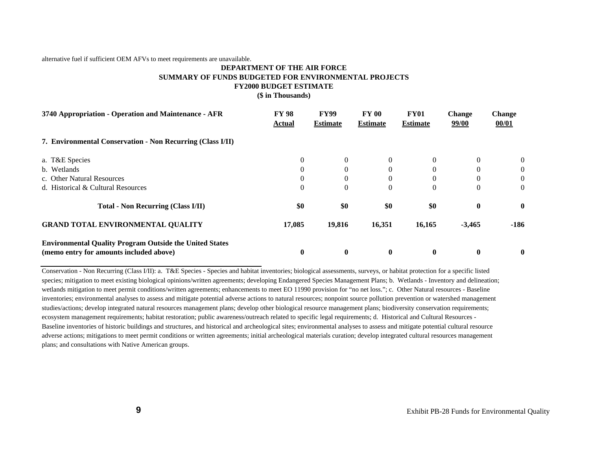alternative fuel if sufficient OEM AFVs to meet requirements are unavailable.

#### **DEPARTMENT OF THE AIR FORCE SUMMARY OF FUNDS BUDGETED FOR ENVIRONMENTAL PROJECTS FY2000 BUDGET ESTIMATE (\$ in Thousands)**

| 3740 Appropriation - Operation and Maintenance - AFR           | <b>FY 98</b><br>Actual | <b>FY99</b><br><b>Estimate</b> | <b>FY 00</b><br><b>Estimate</b> | <b>FY01</b><br><b>Estimate</b> | <b>Change</b><br>99/00 | <b>Change</b><br>00/01 |
|----------------------------------------------------------------|------------------------|--------------------------------|---------------------------------|--------------------------------|------------------------|------------------------|
| 7. Environmental Conservation - Non Recurring (Class I/II)     |                        |                                |                                 |                                |                        |                        |
| a. T&E Species                                                 | $\theta$               |                                | $\Omega$                        | $\theta$                       | $\Omega$               | $\overline{0}$         |
| b. Wetlands                                                    | $\theta$               |                                | $\Omega$                        | $\Omega$                       | $\Omega$               | $\theta$               |
| c. Other Natural Resources                                     | $\theta$               |                                | $\Omega$                        | $\theta$                       | $\theta$               | $\theta$               |
| d. Historical & Cultural Resources                             | $\theta$               | $\Omega$                       | $\overline{0}$                  | $\mathbf{0}$                   | $\Omega$               | $\Omega$               |
| <b>Total - Non Recurring (Class I/II)</b>                      | \$0                    | \$0                            | \$0                             | \$0                            | $\bf{0}$               | $\mathbf{0}$           |
| <b>GRAND TOTAL ENVIRONMENTAL QUALITY</b>                       | 17,085                 | 19,816                         | 16,351                          | 16,165                         | $-3,465$               | $-186$                 |
| <b>Environmental Quality Program Outside the United States</b> |                        |                                |                                 |                                |                        |                        |
| (memo entry for amounts included above)                        | $\bf{0}$               | $\mathbf{0}$                   | $\mathbf{0}$                    | $\bf{0}$                       | $\mathbf{0}$           | $\bf{0}$               |

Conservation - Non Recurring (Class I/II): a. T&E Species - Species and habitat inventories; biological assessments, surveys, or habitat protection for a specific listed species; mitigation to meet existing biological opinions/written agreements; developing Endangered Species Management Plans; b. Wetlands - Inventory and delineation; wetlands mitigation to meet permit conditions/written agreements; enhancements to meet EO 11990 provision for "no net loss."; c. Other Natural resources - Baseline inventories; environmental analyses to assess and mitigate potential adverse actions to natural resources; nonpoint source pollution prevention or watershed management studies/actions; develop integrated natural resources management plans; develop other biological resource management plans; biodiversity conservation requirements; ecosystem management requirements; habitat restoration; public awareness/outreach related to specific legal requirements; d. Historical and Cultural Resources - Baseline inventories of historic buildings and structures, and historical and archeological sites; environmental analyses to assess and mitigate potential cultural resource adverse actions; mitigations to meet permit conditions or written agreements; initial archeological materials curation; develop integrated cultural resources management plans; and consultations with Native American groups.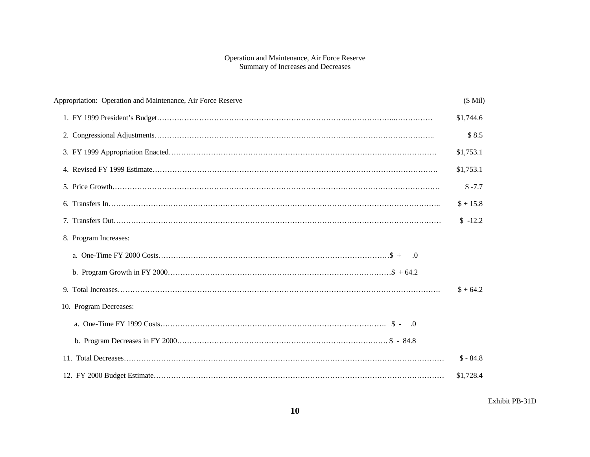#### Operation and Maintenance, Air Force Reserve Summary of Increases and Decreases

| Appropriation: Operation and Maintenance, Air Force Reserve | $($$ Mil $)$ |
|-------------------------------------------------------------|--------------|
|                                                             | \$1,744.6    |
|                                                             | \$8.5        |
|                                                             | \$1,753.1    |
|                                                             | \$1,753.1    |
|                                                             | $$ -7.7$     |
|                                                             | $$+15.8$     |
|                                                             | $$ -12.2$    |
| 8. Program Increases:                                       |              |
|                                                             |              |
|                                                             |              |
|                                                             | $$+64.2$     |
| 10. Program Decreases:                                      |              |
|                                                             |              |
|                                                             |              |
|                                                             | $$ -84.8$    |
|                                                             | \$1,728.4    |

Exhibit PB-31D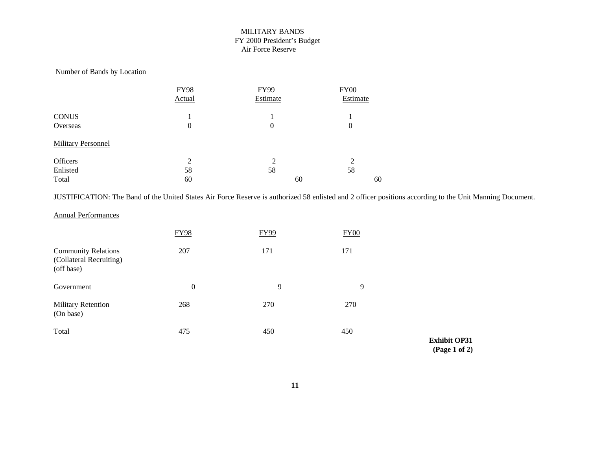#### MILITARY BANDS FY 2000 President's Budget Air Force Reserve

#### Number of Bands by Location

|                           | <b>FY98</b>        | FY99     | <b>FY00</b> |  |
|---------------------------|--------------------|----------|-------------|--|
|                           | Actual             | Estimate | Estimate    |  |
| <b>CONUS</b>              |                    |          |             |  |
| Overseas                  | 0                  | 0        | $\theta$    |  |
| <b>Military Personnel</b> |                    |          |             |  |
| Officers                  | $\mathcal{D}$<br>∠ | ↑        | 2           |  |
| Enlisted                  | 58                 | 58       | 58          |  |
| Total                     | 60                 | 60       | 60          |  |

JUSTIFICATION: The Band of the United States Air Force Reserve is authorized 58 enlisted and 2 officer positions according to the Unit Manning Document.

#### Annual Performances

|                                                                     | <b>FY98</b> | FY99 | <b>FY00</b> |
|---------------------------------------------------------------------|-------------|------|-------------|
| <b>Community Relations</b><br>(Collateral Recruiting)<br>(off base) | 207         | 171  | 171         |
| Government                                                          | $\theta$    | 9    | 9           |
| <b>Military Retention</b><br>(On base)                              | 268         | 270  | 270         |
| Total                                                               | 475         | 450  | 450         |

**Exhibit OP31 (Page 1 of 2)**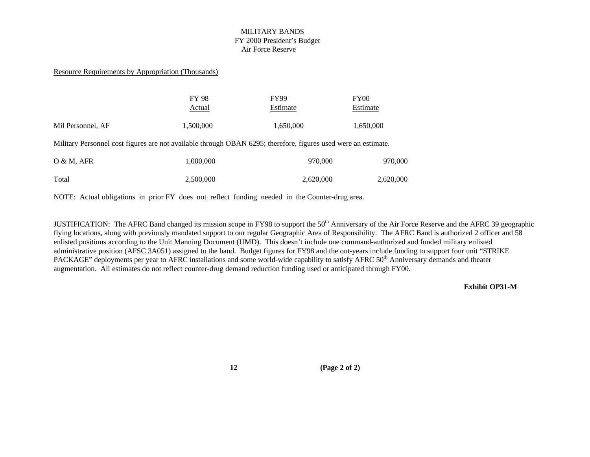#### MILITARY BANDS FY 2000 President's Budget Air Force Reserve

#### Resource Requirements by Appropriation (Thousands)

|                   | <b>FY 98</b> | <b>FY99</b> | FY00      |
|-------------------|--------------|-------------|-----------|
|                   | Actual       | Estimate    | Estimate  |
|                   |              |             |           |
| Mil Personnel, AF | 1,500,000    | 1,650,000   | 1,650,000 |

Military Personnel cost figures are not available through OBAN 6295; therefore, figures used were an estimate.

| $O & M$ , AFR | 1,000,000 | 970,000   | 970,000   |
|---------------|-----------|-----------|-----------|
| Total         | 2,500,000 | 2,620,000 | 2,620,000 |

NOTE: Actual obligations in prior FY does not reflect funding needed in the Counter-drug area.

JUSTIFICATION: The AFRC Band changed its mission scope in FY98 to support the 50<sup>th</sup> Anniversary of the Air Force Reserve and the AFRC 39 geographic flying locations, along with previously mandated support to our regular Geographic Area of Responsibility. The AFRC Band is authorized 2 officer and 58 enlisted positions according to the Unit Manning Document (UMD). This doesn't include one command-authorized and funded military enlisted administrative position (AFSC 3A051) assigned to the band. Budget figures for FY98 and the out-years include funding to support four unit "STRIKE PACKAGE" deployments per year to AFRC installations and some world-wide capability to satisfy AFRC 50<sup>th</sup> Anniversary demands and theater augmentation. All estimates do not reflect counter-drug demand reduction funding used or anticipated through FY00.

**Exhibit OP31-M**

**12 (Page 2 of 2)**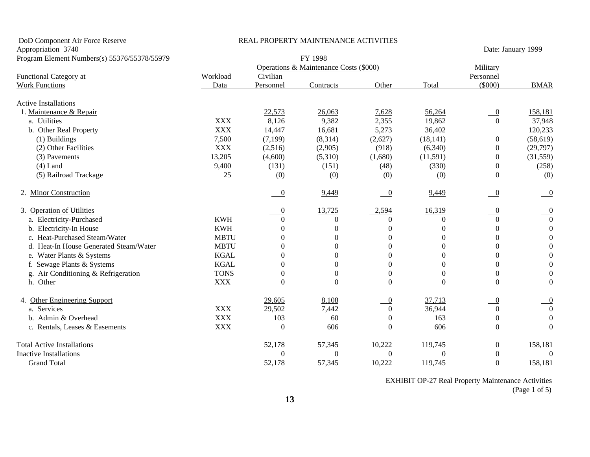| DoD Component Air Force Reserve              | REAL PROPERTY MAINTENANCE ACTIVITIES |                          |                                        |                          |              |                          |                  |
|----------------------------------------------|--------------------------------------|--------------------------|----------------------------------------|--------------------------|--------------|--------------------------|------------------|
| Appropriation 3740                           |                                      | Date: January 1999       |                                        |                          |              |                          |                  |
| Program Element Numbers(s) 55376/55378/55979 |                                      |                          | FY 1998                                |                          |              |                          |                  |
|                                              |                                      |                          | Operations & Maintenance Costs (\$000) |                          |              | Military                 |                  |
| Functional Category at                       | Workload                             | Civilian                 |                                        |                          |              | Personnel                |                  |
| <b>Work Functions</b>                        | Data                                 | Personnel                | Contracts                              | Other                    | Total        | (5000)                   | <b>BMAR</b>      |
| <b>Active Installations</b>                  |                                      |                          |                                        |                          |              |                          |                  |
| 1. Maintenance & Repair                      |                                      | 22,573                   | 26,063                                 | 7,628                    | 56,264       | $\overline{0}$           | 158,181          |
| a. Utilities                                 | <b>XXX</b>                           | 8,126                    | 9,382                                  | 2,355                    | 19,862       | $\Omega$                 | 37,948           |
| b. Other Real Property                       | <b>XXX</b>                           | 14,447                   | 16,681                                 | 5,273                    | 36,402       |                          | 120,233          |
| (1) Buildings                                | 7,500                                | (7, 199)                 | (8,314)                                | (2,627)                  | (18, 141)    | 0                        | (58, 619)        |
| (2) Other Facilities                         | <b>XXX</b>                           | (2,516)                  | (2,905)                                | (918)                    | (6,340)      | $\overline{0}$           | (29,797)         |
| (3) Pavements                                | 13,205                               | (4,600)                  | (5,310)                                | (1,680)                  | (11,591)     | $\Omega$                 | (31,559)         |
| $(4)$ Land                                   | 9,400                                | (131)                    | (151)                                  | (48)                     | (330)        | $\overline{0}$           | (258)            |
| (5) Railroad Trackage                        | 25                                   | (0)                      | (0)                                    | (0)                      | (0)          | $\Omega$                 | (0)              |
| 2. Minor Construction                        |                                      | $\overline{\phantom{0}}$ | 9,449                                  | $\overline{\phantom{0}}$ | 9,449        | $\overline{0}$           | $\overline{0}$   |
| 3. Operation of Utilities                    |                                      | $\theta$                 | 13,725                                 | 2,594                    | 16,319       | $\overline{\phantom{0}}$ | $\overline{0}$   |
| a. Electricity-Purchased                     | <b>KWH</b>                           | 0                        | $\theta$                               | $\theta$                 | $\Omega$     | $\Omega$                 | $\overline{0}$   |
| b. Electricity-In House                      | <b>KWH</b>                           | $\Omega$                 | $\theta$                               | $\theta$                 | 0            | $\Omega$                 | $\boldsymbol{0}$ |
| c. Heat-Purchased Steam/Water                | <b>MBTU</b>                          | $\Omega$                 | 0                                      | $\theta$                 | 0            | $\Omega$                 | $\boldsymbol{0}$ |
| d. Heat-In House Generated Steam/Water       | <b>MBTU</b>                          | $\Omega$                 | 0                                      | $\theta$                 | 0            | $\Omega$                 | $\boldsymbol{0}$ |
| e. Water Plants & Systems                    | <b>KGAL</b>                          | $\Omega$                 | $\Omega$                               | $\overline{0}$           | $\Omega$     | $\Omega$                 | $\boldsymbol{0}$ |
| f. Sewage Plants & Systems                   | <b>KGAL</b>                          | $\Omega$                 | $\Omega$                               | $\theta$                 | 0            | $\Omega$                 | $\boldsymbol{0}$ |
| g. Air Conditioning & Refrigeration          | <b>TONS</b>                          | $\overline{0}$           | $\mathbf{0}$                           | $\boldsymbol{0}$         | 0            | $\overline{0}$           | $\boldsymbol{0}$ |
| h. Other                                     | <b>XXX</b>                           | $\overline{0}$           | $\Omega$                               | $\overline{0}$           | $\Omega$     | $\Omega$                 | $\boldsymbol{0}$ |
| 4. Other Engineering Support                 |                                      | 29,605                   | 8,108                                  | $\overline{0}$           | 37,713       | $\overline{0}$           | $\boldsymbol{0}$ |
| a. Services                                  | <b>XXX</b>                           | 29,502                   | 7,442                                  | $\Omega$                 | 36,944       | $\Omega$                 | $\overline{0}$   |
| b. Admin & Overhead                          | <b>XXX</b>                           | 103                      | 60                                     | $\boldsymbol{0}$         | 163          | $\Omega$                 | $\boldsymbol{0}$ |
| c. Rentals, Leases & Easements               | <b>XXX</b>                           | $\boldsymbol{0}$         | 606                                    | $\boldsymbol{0}$         | 606          | $\Omega$                 | $\boldsymbol{0}$ |
| <b>Total Active Installations</b>            |                                      | 52,178                   | 57,345                                 | 10,222                   | 119,745      | $\boldsymbol{0}$         | 158,181          |
| <b>Inactive Installations</b>                |                                      | $\Omega$                 | $\theta$                               | $\theta$                 | $\mathbf{0}$ | $\Omega$                 | $\boldsymbol{0}$ |
| <b>Grand Total</b>                           |                                      | 52,178                   | 57,345                                 | 10,222                   | 119,745      | $\theta$                 | 158,181          |

 EXHIBIT OP-27 Real Property Maintenance Activities (Page 1 of 5)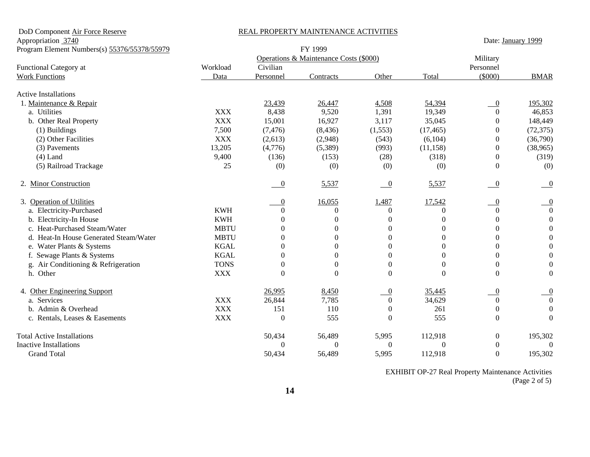DoD Component Air Force Reserve REAL PROPERTY MAINTENANCE ACTIVITIES

Appropriation 3740 Date: January 1999

| Program Element Numbers(s) 55376/55378/55979 |             | FY 1999        |                                        |                          |                |                  |                  |
|----------------------------------------------|-------------|----------------|----------------------------------------|--------------------------|----------------|------------------|------------------|
|                                              |             |                | Operations & Maintenance Costs (\$000) |                          |                | Military         |                  |
| Functional Category at                       | Workload    | Civilian       |                                        |                          |                | Personnel        |                  |
| <b>Work Functions</b>                        | Data        | Personnel      | Contracts                              | Other                    | Total          | $(\$000)$        | <b>BMAR</b>      |
| <b>Active Installations</b>                  |             |                |                                        |                          |                |                  |                  |
| 1. Maintenance & Repair                      |             | 23,439         | 26,447                                 | 4,508                    | 54,394         | $\overline{0}$   | 195,302          |
| a. Utilities                                 | <b>XXX</b>  | 8,438          | 9,520                                  | 1,391                    | 19,349         | $\Omega$         | 46,853           |
| b. Other Real Property                       | <b>XXX</b>  | 15,001         | 16,927                                 | 3,117                    | 35,045         | $\theta$         | 148,449          |
| (1) Buildings                                | 7,500       | (7, 476)       | (8, 436)                               | (1, 553)                 | (17, 465)      | $\Omega$         | (72, 375)        |
| (2) Other Facilities                         | <b>XXX</b>  | (2,613)        | (2,948)                                | (543)                    | (6,104)        | $\Omega$         | (36,790)         |
| (3) Pavements                                | 13,205      | (4,776)        | (5,389)                                | (993)                    | (11, 158)      | $\Omega$         | (38, 965)        |
| $(4)$ Land                                   | 9,400       | (136)          | (153)                                  | (28)                     | (318)          | $\Omega$         | (319)            |
| (5) Railroad Trackage                        | 25          | (0)            | (0)                                    | (0)                      | (0)            | $\Omega$         | (0)              |
| 2. Minor Construction                        |             | -0             | 5,537                                  | $\overline{\phantom{0}}$ | 5,537          | $\overline{0}$   | $\overline{0}$   |
| 3. Operation of Utilities                    |             | 0              | 16,055                                 | 1,487                    | 17,542         | $\overline{0}$   | $\overline{0}$   |
| a. Electricity-Purchased                     | <b>KWH</b>  | $\Omega$       | $\Omega$                               | $\theta$                 | 0              | $\Omega$         | $\boldsymbol{0}$ |
| b. Electricity-In House                      | <b>KWH</b>  | 0              | $\boldsymbol{0}$                       | $\boldsymbol{0}$         | $\Omega$       | $\Omega$         | $\overline{0}$   |
| c. Heat-Purchased Steam/Water                | <b>MBTU</b> | $\Omega$       | $\theta$                               | $\theta$                 | $\theta$       | $\Omega$         | $\overline{0}$   |
| d. Heat-In House Generated Steam/Water       | <b>MBTU</b> | $\Omega$       | $\overline{0}$                         | $\boldsymbol{0}$         | $\theta$       | $\mathbf{0}$     | $\mathbf{0}$     |
| e. Water Plants & Systems                    | <b>KGAL</b> | $\Omega$       | 0                                      | $\overline{0}$           | $\theta$       | $\Omega$         | $\Omega$         |
| f. Sewage Plants & Systems                   | <b>KGAL</b> | 0              | $\Omega$                               | $\Omega$                 | $\Omega$       | $\Omega$         | $\overline{0}$   |
| Air Conditioning & Refrigeration<br>g.       | <b>TONS</b> | $\Omega$       | $\theta$                               | $\overline{0}$           | $\Omega$       | $\Omega$         | $\theta$         |
| h. Other                                     | <b>XXX</b>  | $\overline{0}$ | $\overline{0}$                         | $\theta$                 | $\Omega$       | $\Omega$         | $\mathbf{0}$     |
| 4. Other Engineering Support                 |             | 26,995         | 8,450                                  | $\overline{0}$           | 35,445         | $\overline{0}$   |                  |
| a. Services                                  | <b>XXX</b>  | 26,844         | 7,785                                  | $\overline{0}$           | 34,629         | $\overline{0}$   | $\Omega$         |
| b. Admin & Overhead                          | <b>XXX</b>  | 151            | 110                                    | $\overline{0}$           | 261            | $\Omega$         | $\theta$         |
| c. Rentals, Leases & Easements               | <b>XXX</b>  | $\overline{0}$ | 555                                    | $\theta$                 | 555            | $\Omega$         | $\Omega$         |
| <b>Total Active Installations</b>            |             | 50,434         | 56,489                                 | 5,995                    | 112,918        | $\boldsymbol{0}$ | 195,302          |
| <b>Inactive Installations</b>                |             | 0              | $\theta$                               | $\Omega$                 | $\overline{0}$ | $\Omega$         | $\theta$         |
| <b>Grand Total</b>                           |             | 50,434         | 56,489                                 | 5,995                    | 112,918        | $\Omega$         | 195,302          |

 EXHIBIT OP-27 Real Property Maintenance Activities (Page 2 of 5)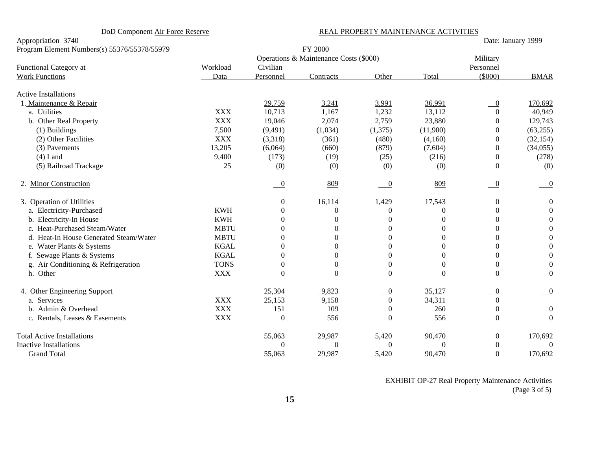#### DoD Component Air Force Reserve REAL PROPERTY MAINTENANCE ACTIVITIES

Appropriation 3740 Date: January 1999

| Program Element Numbers(s) 55376/55378/55979 | FY 2000     |                  |                |                          |          |                          |                  |
|----------------------------------------------|-------------|------------------|----------------|--------------------------|----------|--------------------------|------------------|
|                                              |             | Military         |                |                          |          |                          |                  |
| Functional Category at                       | Workload    | Civilian         |                |                          |          | Personnel                |                  |
| <b>Work Functions</b>                        | Data        | Personnel        | Contracts      | Other                    | Total    | $(\$000)$                | <b>BMAR</b>      |
| <b>Active Installations</b>                  |             |                  |                |                          |          |                          |                  |
| 1. Maintenance & Repair                      |             | 29,759           | 3,241          | 3,991                    | 36,991   | $\theta$                 | 170,692          |
| a. Utilities                                 | <b>XXX</b>  | 10,713           | 1,167          | 1,232                    | 13,112   | $\Omega$                 | 40,949           |
| b. Other Real Property                       | <b>XXX</b>  | 19,046           | 2,074          | 2,759                    | 23,880   | $\Omega$                 | 129,743          |
| $(1)$ Buildings                              | 7,500       | (9,491)          | (1,034)        | (1,375)                  | (11,900) | 0                        | (63, 255)        |
| (2) Other Facilities                         | <b>XXX</b>  | (3,318)          | (361)          | (480)                    | (4,160)  | $\Omega$                 | (32, 154)        |
| (3) Pavements                                | 13,205      | (6,064)          | (660)          | (879)                    | (7,604)  | $\Omega$                 | (34, 055)        |
| $(4)$ Land                                   | 9,400       | (173)            | (19)           | (25)                     | (216)    | $\mathbf{0}$             | (278)            |
| (5) Railroad Trackage                        | 25          | (0)              | (0)            | (0)                      | (0)      | $\Omega$                 | (0)              |
| 2. Minor Construction                        |             | $\overline{0}$   | 809            | $\overline{\phantom{0}}$ | 809      | $\overline{\phantom{0}}$ | $\overline{0}$   |
| 3. Operation of Utilities                    |             | $\theta$         | 16,114         | ,429                     | 17,543   | $\boldsymbol{0}$         | $\boldsymbol{0}$ |
| a. Electricity-Purchased                     | <b>KWH</b>  | $\Omega$         | $\theta$       | $\theta$                 | $\Omega$ | $\Omega$                 | $\boldsymbol{0}$ |
| b. Electricity-In House                      | <b>KWH</b>  | $\Omega$         | $\theta$       | $\theta$                 | $\Omega$ | $\Omega$                 | $\boldsymbol{0}$ |
| c. Heat-Purchased Steam/Water                | <b>MBTU</b> | $\Omega$         | $\overline{0}$ | $\mathbf{0}$             | $\Omega$ | $\Omega$                 |                  |
| d. Heat-In House Generated Steam/Water       | <b>MBTU</b> | $\Omega$         | $\Omega$       | $\theta$                 | $\Omega$ | $\mathbf{0}$             |                  |
| e. Water Plants & Systems                    | <b>KGAL</b> | $\theta$         | $\Omega$       | $\Omega$                 | 0        | $\Omega$                 |                  |
| f. Sewage Plants & Systems                   | <b>KGAL</b> | $\Omega$         | 0              | $\Omega$                 | 0        | $\Omega$                 |                  |
| g. Air Conditioning & Refrigeration          | <b>TONS</b> | $\Omega$         | $\Omega$       | $\boldsymbol{0}$         | $\Omega$ | $\Omega$                 |                  |
| h. Other                                     | <b>XXX</b>  | $\Omega$         | $\overline{0}$ | $\overline{0}$           | $\theta$ | $\Omega$                 | $\boldsymbol{0}$ |
| 4. Other Engineering Support                 |             | 25,304           | 9,823          | $\boldsymbol{0}$         | 35,127   | $\Omega$                 |                  |
| a. Services                                  | <b>XXX</b>  | 25,153           | 9,158          | $\overline{0}$           | 34,311   | $\theta$                 |                  |
| b. Admin & Overhead                          | <b>XXX</b>  | 151              | 109            | $\overline{0}$           | 260      | $\Omega$                 | $\boldsymbol{0}$ |
| c. Rentals, Leases & Easements               | <b>XXX</b>  | $\boldsymbol{0}$ | 556            | $\boldsymbol{0}$         | 556      | $\Omega$                 | $\overline{0}$   |
| <b>Total Active Installations</b>            |             | 55,063           | 29,987         | 5,420                    | 90,470   | $\boldsymbol{0}$         | 170,692          |
| <b>Inactive Installations</b>                |             | $\Omega$         | $\theta$       | $\theta$                 | $\theta$ | $\Omega$                 | $\boldsymbol{0}$ |
| <b>Grand Total</b>                           |             | 55,063           | 29,987         | 5,420                    | 90,470   | $\boldsymbol{0}$         | 170,692          |

 EXHIBIT OP-27 Real Property Maintenance Activities (Page 3 of 5)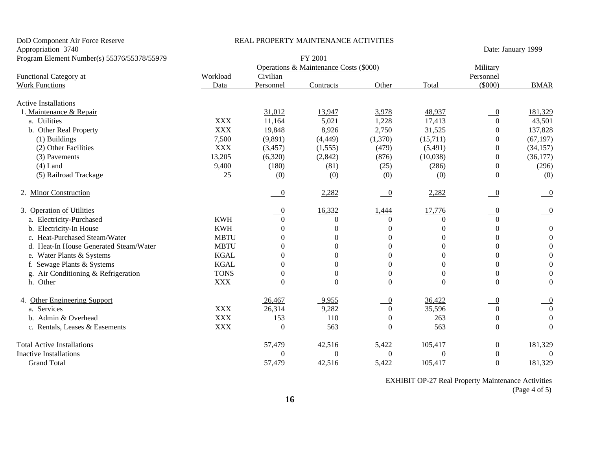| DoD Component Air Force Reserve             | REAL PROPERTY MAINTENANCE ACTIVITIES |                    |                                        |                          |              |                  |                           |
|---------------------------------------------|--------------------------------------|--------------------|----------------------------------------|--------------------------|--------------|------------------|---------------------------|
| Appropriation 3740                          |                                      | Date: January 1999 |                                        |                          |              |                  |                           |
| Program Element Number(s) 55376/55378/55979 |                                      | FY 2001            |                                        |                          |              |                  |                           |
|                                             |                                      |                    | Operations & Maintenance Costs (\$000) |                          |              | Military         |                           |
| Functional Category at                      | Workload                             | Civilian           |                                        |                          |              | Personnel        |                           |
| <b>Work Functions</b>                       | Data                                 | Personnel          | Contracts                              | Other                    | Total        | $($ \$000)       | <b>BMAR</b>               |
| <b>Active Installations</b>                 |                                      |                    |                                        |                          |              |                  |                           |
| 1. Maintenance & Repair                     |                                      | 31,012             | 13,947                                 | 3,978                    | 48,937       | $\overline{0}$   | 181,329                   |
| a. Utilities                                | <b>XXX</b>                           | 11,164             | 5,021                                  | 1,228                    | 17,413       | $\theta$         | 43,501                    |
| b. Other Real Property                      | <b>XXX</b>                           | 19,848             | 8,926                                  | 2,750                    | 31,525       | $\Omega$         | 137,828                   |
| (1) Buildings                               | 7,500                                | (9,891)            | (4, 449)                               | (1,370)                  | (15,711)     | $\boldsymbol{0}$ | (67, 197)                 |
| (2) Other Facilities                        | <b>XXX</b>                           | (3, 457)           | (1, 555)                               | (479)                    | (5,491)      | $\boldsymbol{0}$ | (34, 157)                 |
| (3) Pavements                               | 13,205                               | (6,320)            | (2,842)                                | (876)                    | (10,038)     | $\theta$         | (36, 177)                 |
| $(4)$ Land                                  | 9,400                                | (180)              | (81)                                   | (25)                     | (286)        | $\overline{0}$   | (296)                     |
| (5) Railroad Trackage                       | 25                                   | (0)                | (0)                                    | (0)                      | (0)          | $\theta$         | (0)                       |
| 2. Minor Construction                       |                                      | $\overline{0}$     | 2,282                                  | $\overline{\phantom{0}}$ | 2,282        | $\overline{0}$   | $\overline{\phantom{0}}$  |
| 3. Operation of Utilities                   |                                      | $\boldsymbol{0}$   | 16,332                                 | 1,444                    | 17,776       | $\overline{0}$   | $\overline{\phantom{0}0}$ |
| a. Electricity-Purchased                    | <b>KWH</b>                           | $\theta$           | $\Omega$                               | $\Omega$                 | $\Omega$     | $\Omega$         |                           |
| b. Electricity-In House                     | <b>KWH</b>                           | $\Omega$           | $\Omega$                               | $\Omega$                 | $\Omega$     | $\Omega$         | $\boldsymbol{0}$          |
| c. Heat-Purchased Steam/Water               | <b>MBTU</b>                          | $\Omega$           | $\Omega$                               | $\Omega$                 | $\Omega$     | $\Omega$         | $\boldsymbol{0}$          |
| d. Heat-In House Generated Steam/Water      | <b>MBTU</b>                          | $\overline{0}$     | $\Omega$                               | $\Omega$                 | $\Omega$     | $\Omega$         | $\boldsymbol{0}$          |
| e. Water Plants & Systems                   | <b>KGAL</b>                          | $\theta$           | $\Omega$                               | $\overline{0}$           | $\Omega$     | $\Omega$         | $\boldsymbol{0}$          |
| f. Sewage Plants & Systems                  | <b>KGAL</b>                          | $\Omega$           | $\Omega$                               | $\Omega$                 | $\Omega$     | $\Omega$         | $\boldsymbol{0}$          |
| g. Air Conditioning & Refrigeration         | <b>TONS</b>                          | $\overline{0}$     | $\mathbf{0}$                           | $\boldsymbol{0}$         | $\Omega$     | $\Omega$         | $\boldsymbol{0}$          |
| h. Other                                    | <b>XXX</b>                           | $\boldsymbol{0}$   | $\theta$                               | $\boldsymbol{0}$         | $\Omega$     | $\Omega$         | $\boldsymbol{0}$          |
| 4. Other Engineering Support                |                                      | 26,467             | 9,955                                  | $\overline{0}$           | 36,422       | $\overline{0}$   | $\boldsymbol{0}$          |
| a. Services                                 | <b>XXX</b>                           | 26,314             | 9,282                                  | $\mathbf{0}$             | 35,596       | $\Omega$         | $\boldsymbol{0}$          |
| b. Admin & Overhead                         | <b>XXX</b>                           | 153                | 110                                    | $\boldsymbol{0}$         | 263          | $\theta$         | $\boldsymbol{0}$          |
| c. Rentals, Leases & Easements              | <b>XXX</b>                           | $\boldsymbol{0}$   | 563                                    | $\Omega$                 | 563          | $\theta$         | $\overline{0}$            |
| <b>Total Active Installations</b>           |                                      | 57,479             | 42,516                                 | 5,422                    | 105,417      | $\boldsymbol{0}$ | 181,329                   |
| <b>Inactive Installations</b>               |                                      | $\Omega$           | $\Omega$                               | $\Omega$                 | $\mathbf{0}$ | $\theta$         | $\theta$                  |
| <b>Grand Total</b>                          |                                      | 57,479             | 42,516                                 | 5,422                    | 105,417      | $\theta$         | 181,329                   |

 EXHIBIT OP-27 Real Property Maintenance Activities (Page 4 of 5)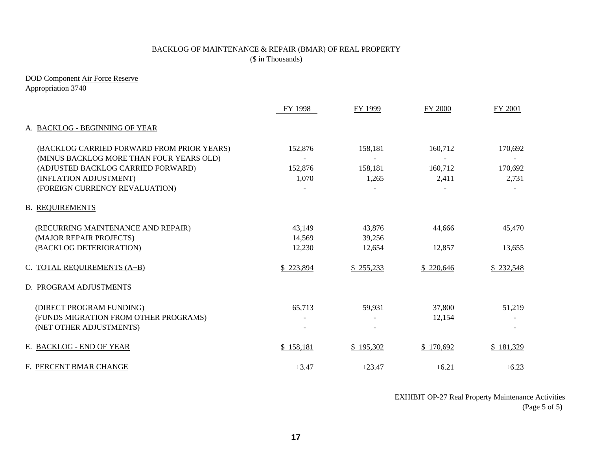# BACKLOG OF MAINTENANCE & REPAIR (BMAR) OF REAL PROPERTY (\$ in Thousands)

DOD Component Air Force Reserve Appropriation 3740

|                                                                                        | FY 1998          | FY 1999          | FY 2000          | FY 2001          |
|----------------------------------------------------------------------------------------|------------------|------------------|------------------|------------------|
| A. BACKLOG - BEGINNING OF YEAR                                                         |                  |                  |                  |                  |
| (BACKLOG CARRIED FORWARD FROM PRIOR YEARS)<br>(MINUS BACKLOG MORE THAN FOUR YEARS OLD) | 152,876          | 158,181          | 160,712          | 170,692          |
| (ADJUSTED BACKLOG CARRIED FORWARD)<br>(INFLATION ADJUSTMENT)                           | 152,876<br>1,070 | 158,181<br>1,265 | 160,712<br>2,411 | 170,692<br>2,731 |
| (FOREIGN CURRENCY REVALUATION)                                                         |                  |                  |                  |                  |
| <b>B. REQUIREMENTS</b>                                                                 |                  |                  |                  |                  |
| (RECURRING MAINTENANCE AND REPAIR)<br>(MAJOR REPAIR PROJECTS)                          | 43,149<br>14,569 | 43,876<br>39,256 | 44,666           | 45,470           |
| (BACKLOG DETERIORATION)                                                                | 12,230           | 12,654           | 12,857           | 13,655           |
| C. TOTAL REQUIREMENTS (A+B)                                                            | \$223,894        | \$255,233        | \$220,646        | \$232,548        |
| D. PROGRAM ADJUSTMENTS                                                                 |                  |                  |                  |                  |
| (DIRECT PROGRAM FUNDING)                                                               | 65,713           | 59,931           | 37,800           | 51,219           |
| (FUNDS MIGRATION FROM OTHER PROGRAMS)<br>(NET OTHER ADJUSTMENTS)                       |                  |                  | 12,154           |                  |
| E. BACKLOG - END OF YEAR                                                               | \$158,181        | \$195,302        | \$170,692        | \$181,329        |
| F. PERCENT BMAR CHANGE                                                                 | $+3.47$          | $+23.47$         | $+6.21$          | $+6.23$          |

EXHIBIT OP-27 Real Property Maintenance Activities (Page 5 of 5)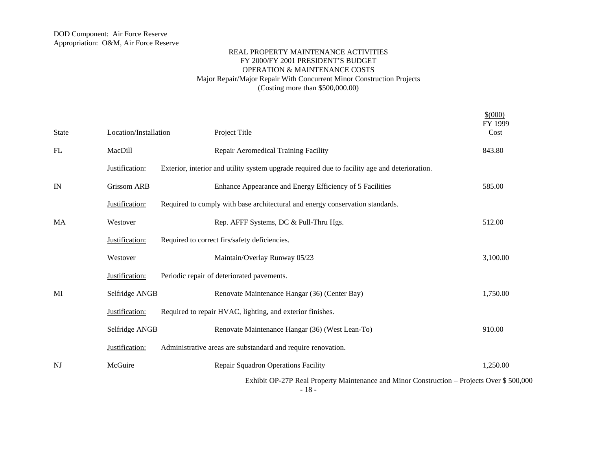$$^{(000)}$ 

| <b>State</b> | Location/Installation | <b>Project Title</b>                                                                                | FY 1999<br>Cost |
|--------------|-----------------------|-----------------------------------------------------------------------------------------------------|-----------------|
| FL           | MacDill               | Repair Aeromedical Training Facility                                                                | 843.80          |
|              | Justification:        | Exterior, interior and utility system upgrade required due to facility age and deterioration.       |                 |
| IN           | <b>Grissom ARB</b>    | Enhance Appearance and Energy Efficiency of 5 Facilities                                            | 585.00          |
|              | Justification:        | Required to comply with base architectural and energy conservation standards.                       |                 |
| MA           | Westover              | Rep. AFFF Systems, DC & Pull-Thru Hgs.                                                              | 512.00          |
|              | Justification:        | Required to correct firs/safety deficiencies.                                                       |                 |
|              | Westover              | Maintain/Overlay Runway 05/23                                                                       | 3,100.00        |
|              | Justification:        | Periodic repair of deteriorated pavements.                                                          |                 |
| MI           | Selfridge ANGB        | Renovate Maintenance Hangar (36) (Center Bay)                                                       | 1,750.00        |
|              | Justification:        | Required to repair HVAC, lighting, and exterior finishes.                                           |                 |
|              | Selfridge ANGB        | Renovate Maintenance Hangar (36) (West Lean-To)                                                     | 910.00          |
|              | Justification:        | Administrative areas are substandard and require renovation.                                        |                 |
| NJ           | McGuire               | Repair Squadron Operations Facility                                                                 | 1,250.00        |
|              |                       | Exhibit OP-27P Real Property Maintenance and Minor Construction – Projects Over \$500,000<br>$-18-$ |                 |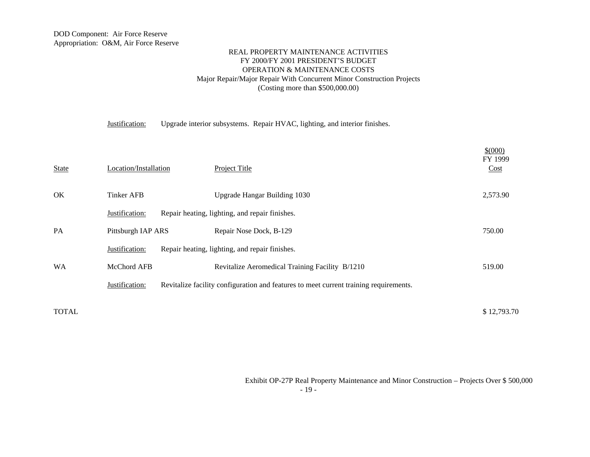Justification: Upgrade interior subsystems. Repair HVAC, lighting, and interior finishes.

| <b>State</b> | Location/Installation | <b>Project Title</b>                                                                  | \$ (000)<br>FY 1999<br>Cost |
|--------------|-----------------------|---------------------------------------------------------------------------------------|-----------------------------|
| OK           | <b>Tinker AFB</b>     | Upgrade Hangar Building 1030                                                          | 2,573.90                    |
|              | Justification:        | Repair heating, lighting, and repair finishes.                                        |                             |
| <b>PA</b>    | Pittsburgh IAP ARS    | Repair Nose Dock, B-129                                                               | 750.00                      |
|              | Justification:        | Repair heating, lighting, and repair finishes.                                        |                             |
| <b>WA</b>    | McChord AFB           | Revitalize Aeromedical Training Facility B/1210                                       | 519.00                      |
|              | Justification:        | Revitalize facility configuration and features to meet current training requirements. |                             |
|              |                       |                                                                                       |                             |

 $\text{DTOLL}$   $\text{\$12,793.70}$ 

 Exhibit OP-27P Real Property Maintenance and Minor Construction – Projects Over \$ 500,000 - 19 -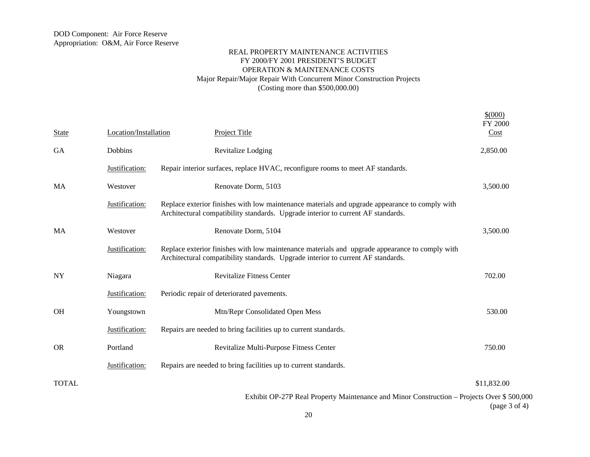| <b>State</b> | Location/Installation | <b>Project Title</b>                                                                                                                                                               | \$(000)<br><b>FY 2000</b><br>Cost |
|--------------|-----------------------|------------------------------------------------------------------------------------------------------------------------------------------------------------------------------------|-----------------------------------|
| GA           | Dobbins               | Revitalize Lodging                                                                                                                                                                 | 2,850.00                          |
|              | Justification:        | Repair interior surfaces, replace HVAC, reconfigure rooms to meet AF standards.                                                                                                    |                                   |
| MA           | Westover              | Renovate Dorm, 5103                                                                                                                                                                | 3,500.00                          |
|              | Justification:        | Replace exterior finishes with low maintenance materials and upgrade appearance to comply with<br>Architectural compatibility standards. Upgrade interior to current AF standards. |                                   |
| MA           | Westover              | Renovate Dorm, 5104                                                                                                                                                                | 3,500.00                          |
|              | Justification:        | Replace exterior finishes with low maintenance materials and upgrade appearance to comply with<br>Architectural compatibility standards. Upgrade interior to current AF standards. |                                   |
| NY           | Niagara               | <b>Revitalize Fitness Center</b>                                                                                                                                                   | 702.00                            |
|              | Justification:        | Periodic repair of deteriorated pavements.                                                                                                                                         |                                   |
| <b>OH</b>    | Youngstown            | Mtn/Repr Consolidated Open Mess                                                                                                                                                    | 530.00                            |
|              | Justification:        | Repairs are needed to bring facilities up to current standards.                                                                                                                    |                                   |
| <b>OR</b>    | Portland              | Revitalize Multi-Purpose Fitness Center                                                                                                                                            | 750.00                            |
|              | Justification:        | Repairs are needed to bring facilities up to current standards.                                                                                                                    |                                   |
| TOTAL        |                       |                                                                                                                                                                                    | \$11,832.00                       |
|              |                       | Exhibit OP-27P Real Property Maintenance and Minor Construction – Projects Over \$500,000                                                                                          |                                   |

(page 3 of 4)